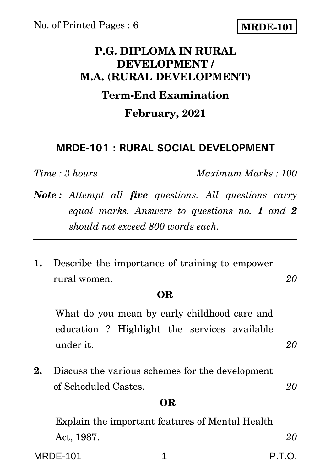# **MRDE-101**

# **P.G. DIPLOMA IN RURAL DEVELOPMENT / M.A. (RURAL DEVELOPMENT)**

## **Term-End Examination**

### **February, 2021**

## **MRDE-101 : RURAL SOCIAL DEVELOPMENT**

*Time : 3 hours Maximum Marks : 100*

- *Note : Attempt all five questions. All questions carry equal marks. Answers to questions no. 1 and 2 should not exceed 800 words each.*
- **1.** Describe the importance of training to empower rural women. *20*

### **OR**

What do you mean by early childhood care and education ? Highlight the services available under it. *20*

**2.** Discuss the various schemes for the development of Scheduled Castes. *20*

### **OR**

Explain the important features of Mental Health Act, 1987. *20*

MRDE-101 1 P.T.O.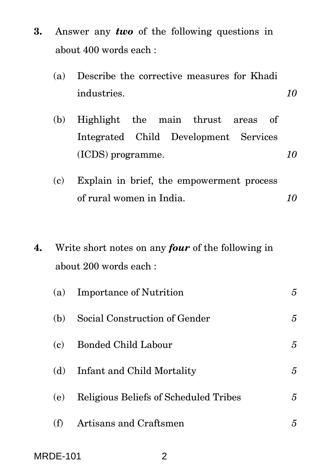- **3.** Answer any *two* of the following questions in about 400 words each :
	- (a) Describe the corrective measures for Khadi industries. *10*
	- (b) Highlight the main thrust areas of Integrated Child Development Services (ICDS) programme. *10*
	- (c) Explain in brief, the empowerment process of rural women in India. *10*
- **4.** Write short notes on any *four* of the following in about 200 words each :

| (a) | <b>Importance of Nutrition</b>        | 5 |
|-----|---------------------------------------|---|
| (b) | Social Construction of Gender         | 5 |
| (c) | <b>Bonded Child Labour</b>            | 5 |
| (d) | Infant and Child Mortality            | 5 |
| (e) | Religious Beliefs of Scheduled Tribes | 5 |
| (f) | Artisans and Craftsmen                | 5 |
|     |                                       |   |

MRDE-101 2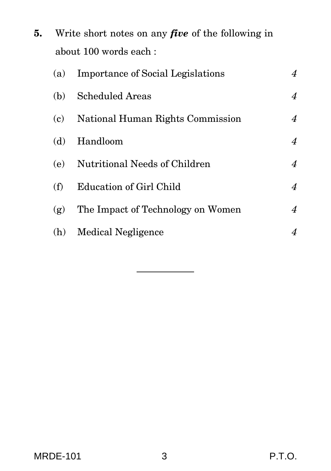**5.** Write short notes on any *five* of the following in about 100 words each :

| (a) | <b>Importance of Social Legislations</b> | $\overline{4}$   |
|-----|------------------------------------------|------------------|
| (b) | <b>Scheduled Areas</b>                   | $\overline{4}$   |
|     | (c) National Human Rights Commission     | $\overline{4}$   |
| (d) | Handloom                                 | $\overline{4}$   |
|     | (e) Nutritional Needs of Children        | $\overline{4}$   |
| (f) | Education of Girl Child                  | $\boldsymbol{4}$ |
| (g) | The Impact of Technology on Women        | $\boldsymbol{4}$ |
|     | (h) Medical Negligence                   | $\overline{4}$   |
|     |                                          |                  |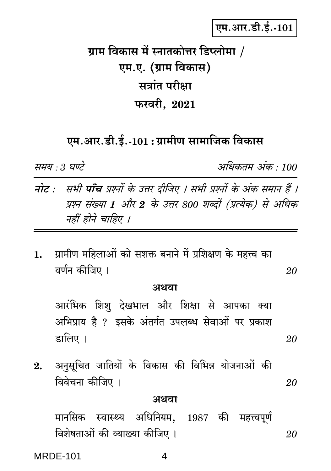एम.आर.डी.ई.-101

ग्राम विकास में स्नातकोत्तर डिप्लोमा / एम.ए. (ग्राम विकास) सत्रांत परीक्षा फरवरी, 2021

एम.आर.डी.ई.-101 : ग्रामीण सामाजिक विकास

समय : 3 घण्टे

अधिकतम् अंक · 100

20

20

- नोट : सभी पाँच प्रश्नों के उत्तर दीजिए । सभी प्रश्नों के अंक समान हैं । प्रश्न संख्या 1 और 2 के उत्तर 800 शब्दों (प्रत्येक) से अधिक नहीं होने चाहिए ।
- ग्रामीण महिलाओं को सशक्त बनाने में प्रशिक्षण के महत्त्व का  $1.$ वर्णन कीजिए ।

#### अथवा

आरंभिक शिश देखभाल और शिक्षा से आपका क्या अभिप्राय है ? इसके अंतर्गत उपलब्ध सेवाओं पर प्रकाश डालिए ।

अनुसूचित जातियों के विकास की विभिन्न योजनाओं की  $2.$ विवेचना कीजिए । 20

#### अथवा

मानसिक स्वास्थ्य अधिनियम, 1987 की महत्त्वपूर्ण विशेषताओं की व्याख्या कीजिए । 20

**MRDE-101** 

4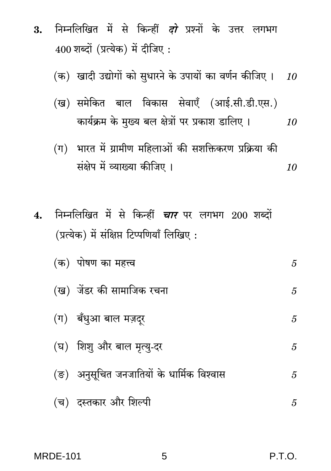- निम्नलिखित में से किन्हीं *दो* प्रश्नों के उत्तर लगभग  $3.$  $400$  शब्दों (प्रत्येक) में दीजिए:
	- (क) खादी उद्योगों को सुधारने के उपायों का वर्णन कीजिए ।  $\,$  10  $\,$
	- (ख) समेकित बाल विकास सेवाएँ (आई.सी.डी.एस.) कार्यक्रम के मुख्य बल क्षेत्रों पर प्रकाश डालिए । 10
	- (ग) भारत में ग्रामीण महिलाओं की सशक्तिकरण प्रक्रिया की संक्षेप में व्याख्या कीजिए । 10
- निम्नलिखित में से किन्हीं *चार* पर लगभग 200 शब्दों  $\mathbf{4}$ . (प्रत्येक) में संक्षिप्त टिप्पणियाँ लिखिए:

| (क) पोषण का महत्त्व                        | 5 |
|--------------------------------------------|---|
| (ख)  जेंडर की सामाजिक रचना                 | 5 |
| (ग) बँधुआ बाल मज़दूर                       | 5 |
| (घ) शिशु और बाल मृत्यु-दर                  | 5 |
| (ङ)  अनुसूचित जनजातियों के धार्मिक विश्वास | 5 |
| (च)  दस्तकार और शिल्पी                     | 5 |

5